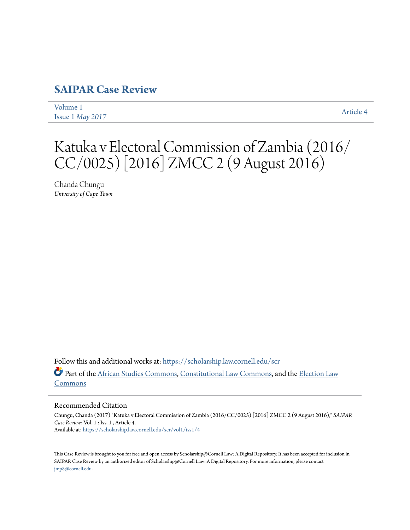# **[SAIPAR Case Review](https://scholarship.law.cornell.edu/scr?utm_source=scholarship.law.cornell.edu%2Fscr%2Fvol1%2Fiss1%2F4&utm_medium=PDF&utm_campaign=PDFCoverPages)**

[Volume 1](https://scholarship.law.cornell.edu/scr/vol1?utm_source=scholarship.law.cornell.edu%2Fscr%2Fvol1%2Fiss1%2F4&utm_medium=PDF&utm_campaign=PDFCoverPages) Issue 1 *[May 2017](https://scholarship.law.cornell.edu/scr/vol1/iss1?utm_source=scholarship.law.cornell.edu%2Fscr%2Fvol1%2Fiss1%2F4&utm_medium=PDF&utm_campaign=PDFCoverPages)* [Article 4](https://scholarship.law.cornell.edu/scr/vol1/iss1/4?utm_source=scholarship.law.cornell.edu%2Fscr%2Fvol1%2Fiss1%2F4&utm_medium=PDF&utm_campaign=PDFCoverPages)

Katuka v Electoral Commission of Zambia (2016/ CC/0025) [2016] ZMCC 2 (9 August 2016)

Chanda Chungu *University of Cape Town*

Follow this and additional works at: [https://scholarship.law.cornell.edu/scr](https://scholarship.law.cornell.edu/scr?utm_source=scholarship.law.cornell.edu%2Fscr%2Fvol1%2Fiss1%2F4&utm_medium=PDF&utm_campaign=PDFCoverPages) Part of the [African Studies Commons](http://network.bepress.com/hgg/discipline/1043?utm_source=scholarship.law.cornell.edu%2Fscr%2Fvol1%2Fiss1%2F4&utm_medium=PDF&utm_campaign=PDFCoverPages), [Constitutional Law Commons](http://network.bepress.com/hgg/discipline/589?utm_source=scholarship.law.cornell.edu%2Fscr%2Fvol1%2Fiss1%2F4&utm_medium=PDF&utm_campaign=PDFCoverPages), and the [Election Law](http://network.bepress.com/hgg/discipline/1121?utm_source=scholarship.law.cornell.edu%2Fscr%2Fvol1%2Fiss1%2F4&utm_medium=PDF&utm_campaign=PDFCoverPages) [Commons](http://network.bepress.com/hgg/discipline/1121?utm_source=scholarship.law.cornell.edu%2Fscr%2Fvol1%2Fiss1%2F4&utm_medium=PDF&utm_campaign=PDFCoverPages)

#### Recommended Citation

Chungu, Chanda (2017) "Katuka v Electoral Commission of Zambia (2016/CC/0025) [2016] ZMCC 2 (9 August 2016)," *SAIPAR Case Review*: Vol. 1 : Iss. 1 , Article 4. Available at: [https://scholarship.law.cornell.edu/scr/vol1/iss1/4](https://scholarship.law.cornell.edu/scr/vol1/iss1/4?utm_source=scholarship.law.cornell.edu%2Fscr%2Fvol1%2Fiss1%2F4&utm_medium=PDF&utm_campaign=PDFCoverPages)

This Case Review is brought to you for free and open access by Scholarship@Cornell Law: A Digital Repository. It has been accepted for inclusion in SAIPAR Case Review by an authorized editor of Scholarship@Cornell Law: A Digital Repository. For more information, please contact [jmp8@cornell.edu.](mailto:jmp8@cornell.edu)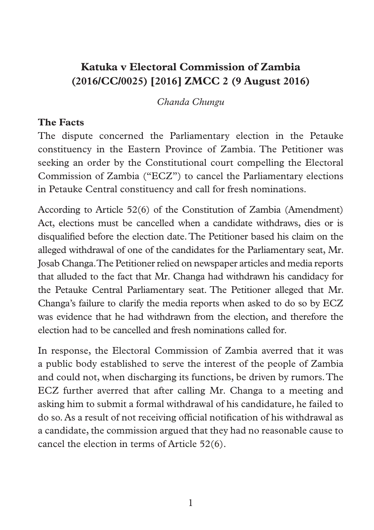# **Katuka v Electoral Commission of Zambia (2016/CC/0025) [2016] ZMCC 2 (9 August 2016)**

*Chanda Chungu*

#### **The Facts**

The dispute concerned the Parliamentary election in the Petauke constituency in the Eastern Province of Zambia. The Petitioner was seeking an order by the Constitutional court compelling the Electoral Commission of Zambia ("ECZ") to cancel the Parliamentary elections in Petauke Central constituency and call for fresh nominations.

According to Article 52(6) of the Constitution of Zambia (Amendment) Act, elections must be cancelled when a candidate withdraws, dies or is disqualified before the election date. The Petitioner based his claim on the alleged withdrawal of one of the candidates for the Parliamentary seat, Mr. Josab Changa. The Petitioner relied on newspaper articles and media reports that alluded to the fact that Mr. Changa had withdrawn his candidacy for the Petauke Central Parliamentary seat. The Petitioner alleged that Mr. Changa's failure to clarify the media reports when asked to do so by ECZ was evidence that he had withdrawn from the election, and therefore the election had to be cancelled and fresh nominations called for.

In response, the Electoral Commission of Zambia averred that it was a public body established to serve the interest of the people of Zambia and could not, when discharging its functions, be driven by rumors. The ECZ further averred that after calling Mr. Changa to a meeting and asking him to submit a formal withdrawal of his candidature, he failed to do so. As a result of not receiving official notification of his withdrawal as a candidate, the commission argued that they had no reasonable cause to cancel the election in terms of Article 52(6).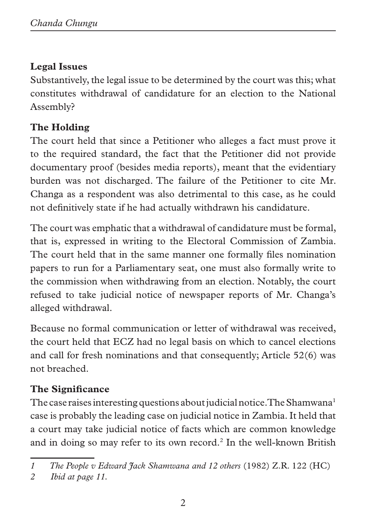# **Legal Issues**

Substantively, the legal issue to be determined by the court was this; what constitutes withdrawal of candidature for an election to the National Assembly?

### **The Holding**

The court held that since a Petitioner who alleges a fact must prove it to the required standard, the fact that the Petitioner did not provide documentary proof (besides media reports), meant that the evidentiary burden was not discharged. The failure of the Petitioner to cite Mr. Changa as a respondent was also detrimental to this case, as he could not definitively state if he had actually withdrawn his candidature.

The court was emphatic that a withdrawal of candidature must be formal, that is, expressed in writing to the Electoral Commission of Zambia. The court held that in the same manner one formally files nomination papers to run for a Parliamentary seat, one must also formally write to the commission when withdrawing from an election. Notably, the court refused to take judicial notice of newspaper reports of Mr. Changa's alleged withdrawal.

Because no formal communication or letter of withdrawal was received, the court held that ECZ had no legal basis on which to cancel elections and call for fresh nominations and that consequently; Article 52(6) was not breached.

# **The Significance**

The case raises interesting questions about judicial notice. The Shamwana<sup>1</sup> case is probably the leading case on judicial notice in Zambia. It held that a court may take judicial notice of facts which are common knowledge and in doing so may refer to its own record.<sup>2</sup> In the well-known British

*<sup>1</sup> The People v Edward Jack Shamwana and 12 others* (1982) Z.R. 122 (HC)

*<sup>2</sup> Ibid at page 11.*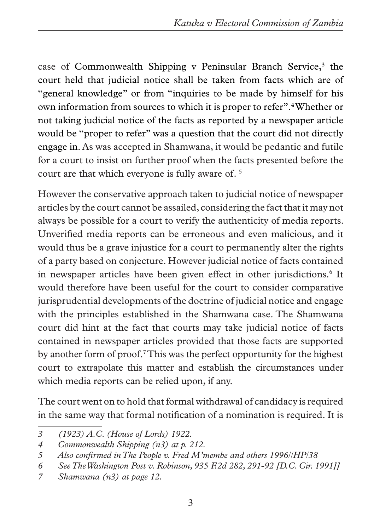case of Commonwealth Shipping v Peninsular Branch Service,<sup>3</sup> the court held that judicial notice shall be taken from facts which are of "general knowledge" or from "inquiries to be made by himself for his own information from sources to which it is proper to refer".4 Whether or not taking judicial notice of the facts as reported by a newspaper article would be "proper to refer" was a question that the court did not directly engage in. As was accepted in Shamwana, it would be pedantic and futile for a court to insist on further proof when the facts presented before the court are that which everyone is fully aware of. 5

However the conservative approach taken to judicial notice of newspaper articles by the court cannot be assailed, considering the fact that it may not always be possible for a court to verify the authenticity of media reports. Unverified media reports can be erroneous and even malicious, and it would thus be a grave injustice for a court to permanently alter the rights of a party based on conjecture. However judicial notice of facts contained in newspaper articles have been given effect in other jurisdictions.<sup>6</sup> It would therefore have been useful for the court to consider comparative jurisprudential developments of the doctrine of judicial notice and engage with the principles established in the Shamwana case. The Shamwana court did hint at the fact that courts may take judicial notice of facts contained in newspaper articles provided that those facts are supported by another form of proof.<sup>7</sup> This was the perfect opportunity for the highest court to extrapolate this matter and establish the circumstances under which media reports can be relied upon, if any.

The court went on to hold that formal withdrawal of candidacy is required in the same way that formal notification of a nomination is required. It is

*<sup>3 (1923)</sup> A.C. (House of Lords) 1922.*

*<sup>4</sup> Commonwealth Shipping (n3) at p. 212.*

*<sup>5</sup> Also confirmed in The People v. Fred M'membe and others 1996//HP/38*

*<sup>6</sup> See The Washington Post v. Robinson, 935 F.2d 282, 291-92 [D.C. Cir. 1991]]*

*<sup>7</sup> Shamwana (n3) at page 12.*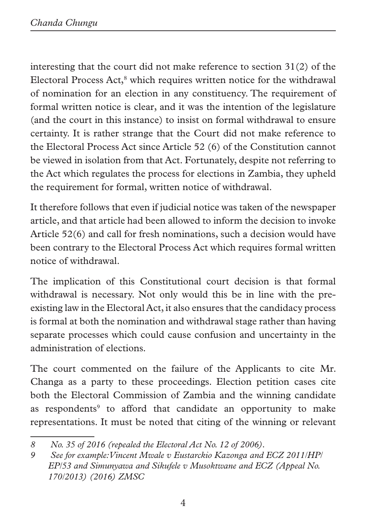interesting that the court did not make reference to section 31(2) of the Electoral Process Act,<sup>8</sup> which requires written notice for the withdrawal of nomination for an election in any constituency. The requirement of formal written notice is clear, and it was the intention of the legislature (and the court in this instance) to insist on formal withdrawal to ensure certainty. It is rather strange that the Court did not make reference to the Electoral Process Act since Article 52 (6) of the Constitution cannot be viewed in isolation from that Act. Fortunately, despite not referring to the Act which regulates the process for elections in Zambia, they upheld the requirement for formal, written notice of withdrawal.

It therefore follows that even if judicial notice was taken of the newspaper article, and that article had been allowed to inform the decision to invoke Article 52(6) and call for fresh nominations, such a decision would have been contrary to the Electoral Process Act which requires formal written notice of withdrawal.

The implication of this Constitutional court decision is that formal withdrawal is necessary. Not only would this be in line with the preexisting law in the Electoral Act, it also ensures that the candidacy process is formal at both the nomination and withdrawal stage rather than having separate processes which could cause confusion and uncertainty in the administration of elections.

The court commented on the failure of the Applicants to cite Mr. Changa as a party to these proceedings. Election petition cases cite both the Electoral Commission of Zambia and the winning candidate as respondents<sup>9</sup> to afford that candidate an opportunity to make representations. It must be noted that citing of the winning or relevant

*<sup>8</sup> No. 35 of 2016 (repealed the Electoral Act No. 12 of 2006).*

*<sup>9</sup> See for example: Vincent Mwale v Eustarckio Kazonga and ECZ 2011/HP/ EP/53 and Simunyawa and Sikufele v Musoktwane and ECZ (Appeal No. 170/2013) (2016) ZMSC*